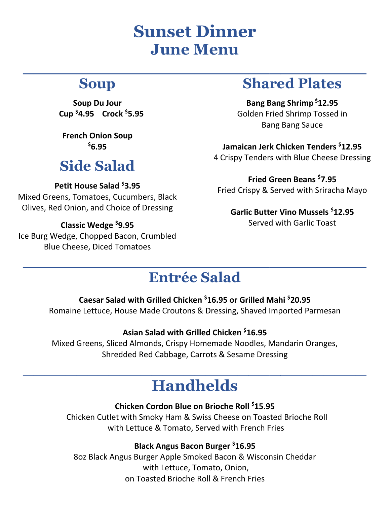# **Sunset Dinner June Menu**

**\_\_\_\_\_\_\_\_\_\_\_\_\_\_\_\_\_\_\_\_\_\_\_\_\_\_\_\_\_\_\_\_**

## **Soup**

**Soup Du Jour Cup \$4.95 Crock \$5.95**

**French Onion Soup \$6.95**

## **Side Salad**

### **Petit House Salad \$3.95**

Mixed Greens, Tomatoes, Cucumbers, Black Olives, Red Onion, and Choice of Dressing

### **Classic Wedge \$9.95**

Ice Burg Wedge, Chopped Bacon, Crumbled Blue Cheese, Diced Tomatoes

### **Shared Plates**

**Bang Bang Shrimp \$12.95** Golden Fried Shrimp Tossed in Bang Bang Sauce

**Jamaican Jerk Chicken Tenders \$12.95** 4 Crispy Tenders with Blue Cheese Dressing

**Fried Green Beans \$7.95** Fried Crispy & Served with Sriracha Mayo

**Garlic Butter Vino Mussels \$12.95**  Served with Garlic Toast

### **Entrée Salad**

**\_\_\_\_\_\_\_\_\_\_\_\_\_\_\_\_\_\_\_\_\_\_\_\_\_\_\_\_\_\_\_\_**

### **Caesar Salad with Grilled Chicken \$16.95 or Grilled Mahi \$20.95**

Romaine Lettuce, House Made Croutons & Dressing, Shaved Imported Parmesan

### **Asian Salad with Grilled Chicken \$16.95**

Mixed Greens, Sliced Almonds, Crispy Homemade Noodles, Mandarin Oranges, Shredded Red Cabbage, Carrots & Sesame Dressing

## **\_\_\_\_\_\_\_\_\_\_\_\_\_\_\_\_\_\_\_\_\_\_\_\_\_\_\_\_\_\_\_\_ Handhelds**

### **Chicken Cordon Blue on Brioche Roll \$15.95**

Chicken Cutlet with Smoky Ham & Swiss Cheese on Toasted Brioche Roll with Lettuce & Tomato, Served with French Fries

### **Black Angus Bacon Burger \$16.95**

8oz Black Angus Burger Apple Smoked Bacon & Wisconsin Cheddar with Lettuce, Tomato, Onion, on Toasted Brioche Roll & French Fries